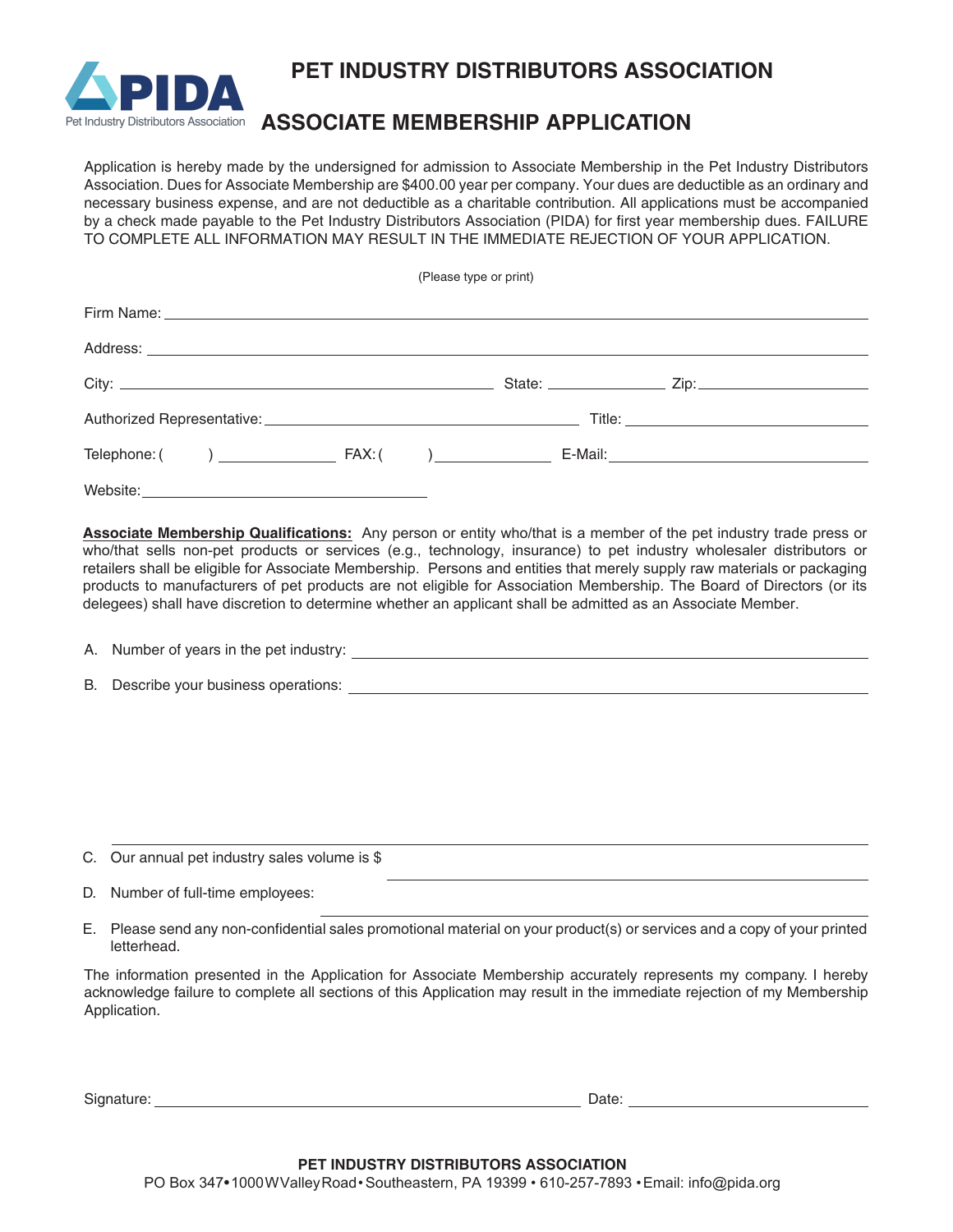

**PET INDUSTRY DISTRIBUTORS ASSOCIATION**

## Pet Industry Distributors Association ASSOCIATE MEMBERSHIP APPLICATION

Application is hereby made by the undersigned for admission to Associate Membership in the Pet Industry Distributors Association. Dues for Associate Membership are \$400.00 year per company. Your dues are deductible as an ordinary and necessary business expense, and are not deductible as a charitable contribution. All applications must be accompanied by a check made payable to the Pet Industry Distributors Association (PIDA) for first year membership dues. FAILURE TO COMPLETE ALL INFORMATION MAY RESULT IN THE IMMEDIATE REJECTION OF YOUR APPLICATION.

(Please type or print)

|          | Telephone: ( ) FAX: ( ) E-Mail: E-Mail: |
|----------|-----------------------------------------|
| Website: |                                         |

**Associate Membership Qualifications:** Any person or entity who/that is a member of the pet industry trade press or who/that sells non-pet products or services (e.g., technology, insurance) to pet industry wholesaler distributors or retailers shall be eligible for Associate Membership. Persons and entities that merely supply raw materials or packaging products to manufacturers of pet products are not eligible for Association Membership. The Board of Directors (or its delegees) shall have discretion to determine whether an applicant shall be admitted as an Associate Member.

| A. Number of years in the pet industry: |  |
|-----------------------------------------|--|
|                                         |  |

B. Describe your business operations:

- C. Our annual pet industry sales volume is \$
- D. Number of full-time employees:
- E. Please send any non-confidential sales promotional material on your product(s) or services and a copy of your printed letterhead.

The information presented in the Application for Associate Membership accurately represents my company. I hereby acknowledge failure to complete all sections of this Application may result in the immediate rejection of my Membership Application.

Signature: Date: